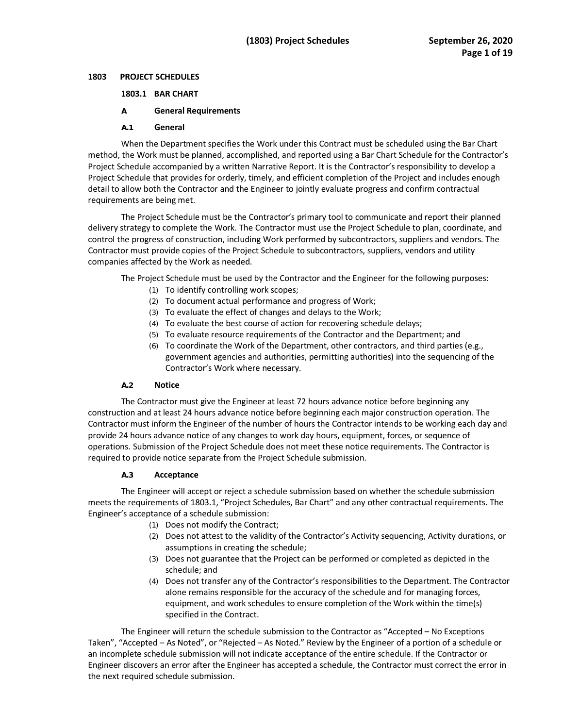#### 1803 **1803 PROJECT SCHEDULES**

## **1803.1 BAR CHART**

## **A General Requirements**

#### **A.1 General**

 method, the Work must be planned, accomplished, and reported using a Bar Chart Schedule for the Contractor's Project Schedule that provides for orderly, timely, and efficient completion of the Project and includes enough When the Department specifies the Work under this Contract must be scheduled using the Bar Chart Project Schedule accompanied by a written Narrative Report. It is the Contractor's responsibility to develop a detail to allow both the Contractor and the Engineer to jointly evaluate progress and confirm contractual requirements are being met.

 delivery strategy to complete the Work. The Contractor must use the Project Schedule to plan, coordinate, and Contractor must provide copies of the Project Schedule to subcontractors, suppliers, vendors and utility The Project Schedule must be the Contractor's primary tool to communicate and report their planned control the progress of construction, including Work performed by subcontractors, suppliers and vendors. The companies affected by the Work as needed.

The Project Schedule must be used by the Contractor and the Engineer for the following purposes:

- (1) To identify controlling work scopes;
- (2) To document actual performance and progress of Work;
- (3) To evaluate the effect of changes and delays to the Work;
- (4) To evaluate the best course of action for recovering schedule delays;
- (5) To evaluate resource requirements of the Contractor and the Department; and
- (6) To coordinate the Work of the Department, other contractors, and third parties (e.g., government agencies and authorities, permitting authorities) into the sequencing of the Contractor's Work where necessary.

#### **A.2 Notice**

The Contractor must give the Engineer at least 72 hours advance notice before beginning any construction and at least 24 hours advance notice before beginning each major construction operation. The Contractor must inform the Engineer of the number of hours the Contractor intends to be working each day and provide 24 hours advance notice of any changes to work day hours, equipment, forces, or sequence of operations. Submission of the Project Schedule does not meet these notice requirements. The Contractor is required to provide notice separate from the Project Schedule submission.

#### **A.3 Acceptance**

 meets the requirements of 1803.1, "Project Schedules, Bar Chart" and any other contractual requirements. The The Engineer will accept or reject a schedule submission based on whether the schedule submission Engineer's acceptance of a schedule submission:

- (1) Does not modify the Contract;
- assumptions in creating the schedule; (2) Does not attest to the validity of the Contractor's Activity sequencing, Activity durations, or
- (3) Does not guarantee that the Project can be performed or completed as depicted in the schedule; and
- alone remains responsible for the accuracy of the schedule and for managing forces, (4) Does not transfer any of the Contractor's responsibilities to the Department. The Contractor equipment, and work schedules to ensure completion of the Work within the time(s) specified in the Contract.

 The Engineer will return the schedule submission to the Contractor as "Accepted – No Exceptions Taken", "Accepted – As Noted", or "Rejected – As Noted." Review by the Engineer of a portion of a schedule or Engineer discovers an error after the Engineer has accepted a schedule, the Contractor must correct the error in an incomplete schedule submission will not indicate acceptance of the entire schedule. If the Contractor or the next required schedule submission.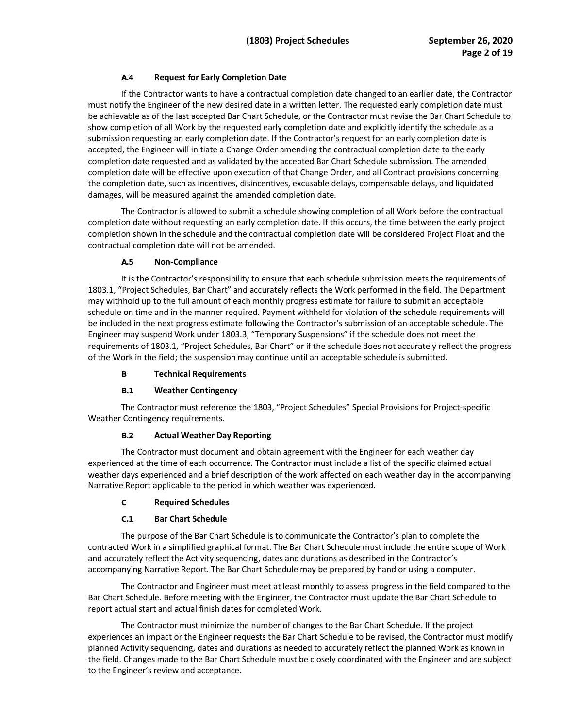# **A.4 Request for Early Completion Date**

 If the Contractor wants to have a contractual completion date changed to an earlier date, the Contractor submission requesting an early completion date. If the Contractor's request for an early completion date is completion date requested and as validated by the accepted Bar Chart Schedule submission. The amended completion date will be effective upon execution of that Change Order, and all Contract provisions concerning the completion date, such as incentives, disincentives, excusable delays, compensable delays, and liquidated must notify the Engineer of the new desired date in a written letter. The requested early completion date must be achievable as of the last accepted Bar Chart Schedule, or the Contractor must revise the Bar Chart Schedule to show completion of all Work by the requested early completion date and explicitly identify the schedule as a accepted, the Engineer will initiate a Change Order amending the contractual completion date to the early damages, will be measured against the amended completion date.

 completion shown in the schedule and the contractual completion date will be considered Project Float and the The Contractor is allowed to submit a schedule showing completion of all Work before the contractual completion date without requesting an early completion date. If this occurs, the time between the early project contractual completion date will not be amended.

# **A.5 Non-Compliance**

 may withhold up to the full amount of each monthly progress estimate for failure to submit an acceptable schedule on time and in the manner required. Payment withheld for violation of the schedule requirements will It is the Contractor's responsibility to ensure that each schedule submission meets the requirements of 1803.1, "Project Schedules, Bar Chart" and accurately reflects the Work performed in the field. The Department be included in the next progress estimate following the Contractor's submission of an acceptable schedule. The Engineer may suspend Work under 1803.3, "Temporary Suspensions" if the schedule does not meet the requirements of 1803.1, "Project Schedules, Bar Chart" or if the schedule does not accurately reflect the progress of the Work in the field; the suspension may continue until an acceptable schedule is submitted.

# **B Technical Requirements**

# **B.1 Weather Contingency**

The Contractor must reference the 1803, "Project Schedules" Special Provisions for Project-specific Weather Contingency requirements.

# **B.2 Actual Weather Day Reporting**

 The Contractor must document and obtain agreement with the Engineer for each weather day Narrative Report applicable to the period in which weather was experienced. experienced at the time of each occurrence. The Contractor must include a list of the specific claimed actual weather days experienced and a brief description of the work affected on each weather day in the accompanying

#### **C Required Schedules**

# **C.1 Bar Chart Schedule**

 The purpose of the Bar Chart Schedule is to communicate the Contractor's plan to complete the and accurately reflect the Activity sequencing, dates and durations as described in the Contractor's accompanying Narrative Report. The Bar Chart Schedule may be prepared by hand or using a computer. contracted Work in a simplified graphical format. The Bar Chart Schedule must include the entire scope of Work

 The Contractor and Engineer must meet at least monthly to assess progress in the field compared to the Bar Chart Schedule. Before meeting with the Engineer, the Contractor must update the Bar Chart Schedule to report actual start and actual finish dates for completed Work.

 experiences an impact or the Engineer requests the Bar Chart Schedule to be revised, the Contractor must modify planned Activity sequencing, dates and durations as needed to accurately reflect the planned Work as known in The Contractor must minimize the number of changes to the Bar Chart Schedule. If the project the field. Changes made to the Bar Chart Schedule must be closely coordinated with the Engineer and are subject to the Engineer's review and acceptance.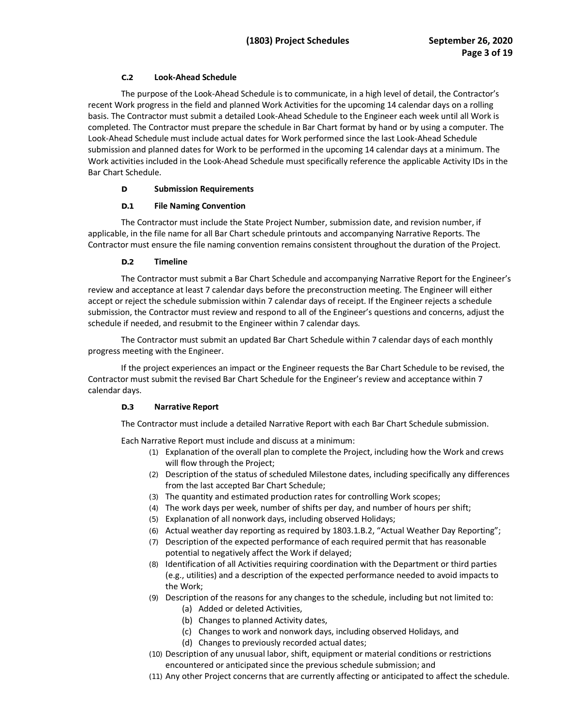## **C.2 Look-Ahead Schedule**

 submission and planned dates for Work to be performed in the upcoming 14 calendar days at a minimum. The Work activities included in the Look-Ahead Schedule must specifically reference the applicable Activity IDs in the The purpose of the Look-Ahead Schedule is to communicate, in a high level of detail, the Contractor's recent Work progress in the field and planned Work Activities for the upcoming 14 calendar days on a rolling basis. The Contractor must submit a detailed Look-Ahead Schedule to the Engineer each week until all Work is completed. The Contractor must prepare the schedule in Bar Chart format by hand or by using a computer. The Look-Ahead Schedule must include actual dates for Work performed since the last Look-Ahead Schedule Bar Chart Schedule.

## **D Submission Requirements**

## **D.1 File Naming Convention**

 The Contractor must include the State Project Number, submission date, and revision number, if applicable, in the file name for all Bar Chart schedule printouts and accompanying Narrative Reports. The Contractor must ensure the file naming convention remains consistent throughout the duration of the Project.

## **D.2 Timeline**

The Contractor must submit a Bar Chart Schedule and accompanying Narrative Report for the Engineer's review and acceptance at least 7 calendar days before the preconstruction meeting. The Engineer will either accept or reject the schedule submission within 7 calendar days of receipt. If the Engineer rejects a schedule submission, the Contractor must review and respond to all of the Engineer's questions and concerns, adjust the schedule if needed, and resubmit to the Engineer within 7 calendar days.

 The Contractor must submit an updated Bar Chart Schedule within 7 calendar days of each monthly progress meeting with the Engineer.

If the project experiences an impact or the Engineer requests the Bar Chart Schedule to be revised, the Contractor must submit the revised Bar Chart Schedule for the Engineer's review and acceptance within 7 calendar days.

# **D.3 Narrative Report**

The Contractor must include a detailed Narrative Report with each Bar Chart Schedule submission.

Each Narrative Report must include and discuss at a minimum:

- (1) Explanation of the overall plan to complete the Project, including how the Work and crews will flow through the Project;
- (2) Description of the status of scheduled Milestone dates, including specifically any differences from the last accepted Bar Chart Schedule;
- (3) The quantity and estimated production rates for controlling Work scopes;
- (4) The work days per week, number of shifts per day, and number of hours per shift;
- (5) Explanation of all nonwork days, including observed Holidays;
- (6) Actual weather day reporting as required by 1803.1.B.2, "Actual Weather Day Reporting";
- (7) Description of the expected performance of each required permit that has reasonable potential to negatively affect the Work if delayed;
- (8) Identification of all Activities requiring coordination with the Department or third parties (e.g., utilities) and a description of the expected performance needed to avoid impacts to the Work;
- (9) Description of the reasons for any changes to the schedule, including but not limited to:
	- (a) Added or deleted Activities,
	- (b) Changes to planned Activity dates,
	- (c) Changes to work and nonwork days, including observed Holidays, and
	- (d) Changes to previously recorded actual dates;
- (10) Description of any unusual labor, shift, equipment or material conditions or restrictions encountered or anticipated since the previous schedule submission; and
- (11) Any other Project concerns that are currently affecting or anticipated to affect the schedule.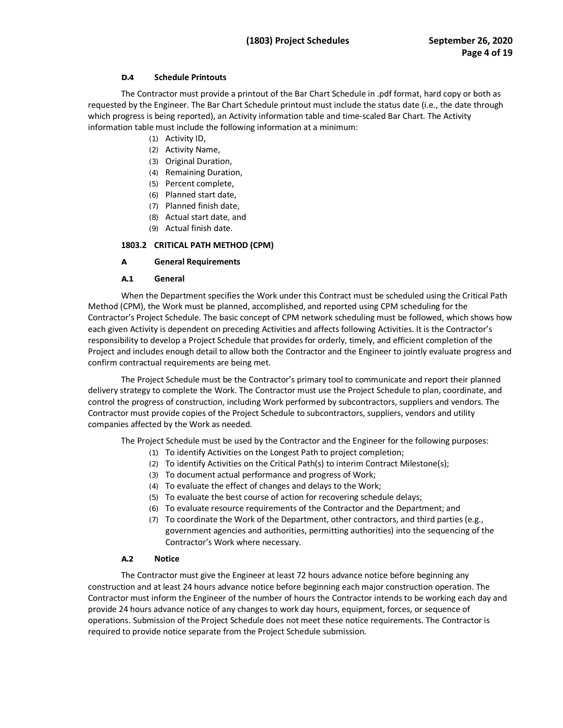## **D.4 Schedule Printouts**

 requested by the Engineer. The Bar Chart Schedule printout must include the status date (i.e., the date through which progress is being reported), an Activity information table and time-scaled Bar Chart. The Activity information table must include the following information at a minimum: The Contractor must provide a printout of the Bar Chart Schedule in .pdf format, hard copy or both as

- (1) Activity ID,
- (2) Activity Name,
- (3) Original Duration,
- (4) Remaining Duration,
- (5) Percent complete,
- (6) Planned start date,
- (7) Planned finish date,
- (8) Actual start date, and
- (9) Actual finish date.

# **1803.2 CRITICAL PATH METHOD (CPM)**

# **A General Requirements**

# **A.1 General**

 When the Department specifies the Work under this Contract must be scheduled using the Critical Path Contractor's Project Schedule. The basic concept of CPM network scheduling must be followed, which shows how each given Activity is dependent on preceding Activities and affects following Activities. It is the Contractor's responsibility to develop a Project Schedule that provides for orderly, timely, and efficient completion of the Project and includes enough detail to allow both the Contractor and the Engineer to jointly evaluate progress and Method (CPM), the Work must be planned, accomplished, and reported using CPM scheduling for the confirm contractual requirements are being met.

 The Project Schedule must be the Contractor's primary tool to communicate and report their planned delivery strategy to complete the Work. The Contractor must use the Project Schedule to plan, coordinate, and companies affected by the Work as needed. control the progress of construction, including Work performed by subcontractors, suppliers and vendors. The Contractor must provide copies of the Project Schedule to subcontractors, suppliers, vendors and utility

The Project Schedule must be used by the Contractor and the Engineer for the following purposes:

- (1) To identify Activities on the Longest Path to project completion;
- (2) To identify Activities on the Critical Path(s) to interim Contract Milestone(s);
- (3) To document actual performance and progress of Work;
- (4) To evaluate the effect of changes and delays to the Work;
- (5) To evaluate the best course of action for recovering schedule delays;
- (6) To evaluate resource requirements of the Contractor and the Department; and
- (7) To coordinate the Work of the Department, other contractors, and third parties (e.g., government agencies and authorities, permitting authorities) into the sequencing of the Contractor's Work where necessary.

# **A.2 Notice**

 required to provide notice separate from the Project Schedule submission. The Contractor must give the Engineer at least 72 hours advance notice before beginning any construction and at least 24 hours advance notice before beginning each major construction operation. The Contractor must inform the Engineer of the number of hours the Contractor intends to be working each day and provide 24 hours advance notice of any changes to work day hours, equipment, forces, or sequence of operations. Submission of the Project Schedule does not meet these notice requirements. The Contractor is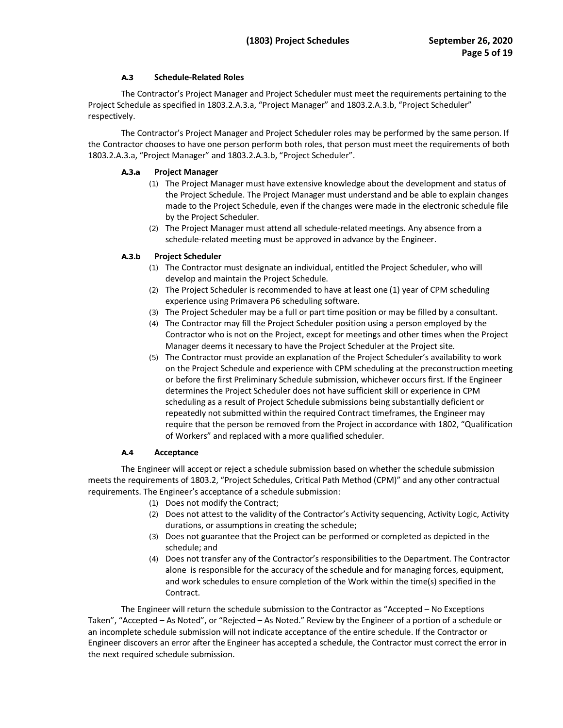# **A.3 Schedule-Related Roles**

The Contractor's Project Manager and Project Scheduler must meet the requirements pertaining to the Project Schedule as specified in 1803.2.A.3.a, "Project Manager" and 1803.2.A.3.b, "Project Scheduler" respectively.

 The Contractor's Project Manager and Project Scheduler roles may be performed by the same person. If the Contractor chooses to have one person perform both roles, that person must meet the requirements of both 1803.2.A.3.a, "Project Manager" and 1803.2.A.3.b, "Project Scheduler".

## **A.3.a Project Manager**

- the Project Schedule. The Project Manager must understand and be able to explain changes made to the Project Schedule, even if the changes were made in the electronic schedule file (1) The Project Manager must have extensive knowledge about the development and status of by the Project Scheduler.
- schedule-related meeting must be approved in advance by the Engineer. (2) The Project Manager must attend all schedule-related meetings. Any absence from a

## **A.3.b Project Scheduler**

- (1) The Contractor must designate an individual, entitled the Project Scheduler, who will develop and maintain the Project Schedule.
- (2) The Project Scheduler is recommended to have at least one (1) year of CPM scheduling experience using Primavera P6 scheduling software.
- (3) The Project Scheduler may be a full or part time position or may be filled by a consultant.
- Contractor who is not on the Project, except for meetings and other times when the Project (4) The Contractor may fill the Project Scheduler position using a person employed by the Manager deems it necessary to have the Project Scheduler at the Project site.
- (5) The Contractor must provide an explanation of the Project Scheduler's availability to work determines the Project Scheduler does not have sufficient skill or experience in CPM repeatedly not submitted within the required Contract timeframes, the Engineer may require that the person be removed from the Project in accordance with 1802, "Qualification on the Project Schedule and experience with CPM scheduling at the preconstruction meeting or before the first Preliminary Schedule submission, whichever occurs first. If the Engineer scheduling as a result of Project Schedule submissions being substantially deficient or of Workers" and replaced with a more qualified scheduler.

#### **A.4 Acceptance**

 meets the requirements of 1803.2, "Project Schedules, Critical Path Method (CPM)" and any other contractual requirements. The Engineer's acceptance of a schedule submission: The Engineer will accept or reject a schedule submission based on whether the schedule submission

- (1) Does not modify the Contract;
- (2) Does not attest to the validity of the Contractor's Activity sequencing, Activity Logic, Activity durations, or assumptions in creating the schedule;
- (3) Does not guarantee that the Project can be performed or completed as depicted in the schedule; and
- (4) Does not transfer any of the Contractor's responsibilities to the Department. The Contractor alone is responsible for the accuracy of the schedule and for managing forces, equipment, and work schedules to ensure completion of the Work within the time(s) specified in the Contract.

 The Engineer will return the schedule submission to the Contractor as "Accepted – No Exceptions Taken", "Accepted – As Noted", or "Rejected – As Noted." Review by the Engineer of a portion of a schedule or Engineer discovers an error after the Engineer has accepted a schedule, the Contractor must correct the error in an incomplete schedule submission will not indicate acceptance of the entire schedule. If the Contractor or the next required schedule submission.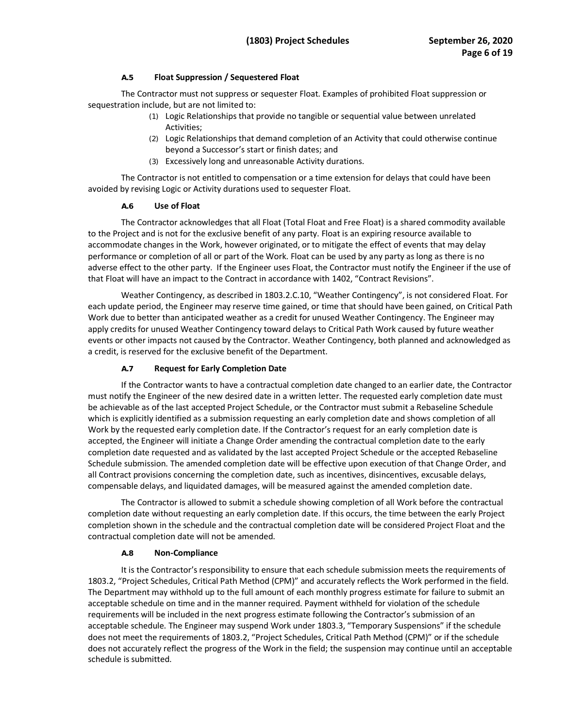## **A.5 Float Suppression / Sequestered Float**

The Contractor must not suppress or sequester Float. Examples of prohibited Float suppression or sequestration include, but are not limited to:

- (1) Logic Relationships that provide no tangible or sequential value between unrelated Activities;
- (2) Logic Relationships that demand completion of an Activity that could otherwise continue beyond a Successor's start or finish dates; and
- (3) Excessively long and unreasonable Activity durations.

 The Contractor is not entitled to compensation or a time extension for delays that could have been avoided by revising Logic or Activity durations used to sequester Float.

#### **A.6 Use of Float**

 The Contractor acknowledges that all Float (Total Float and Free Float) is a shared commodity available adverse effect to the other party. If the Engineer uses Float, the Contractor must notify the Engineer if the use of to the Project and is not for the exclusive benefit of any party. Float is an expiring resource available to accommodate changes in the Work, however originated, or to mitigate the effect of events that may delay performance or completion of all or part of the Work. Float can be used by any party as long as there is no that Float will have an impact to the Contract in accordance with 1402, "Contract Revisions".

 Work due to better than anticipated weather as a credit for unused Weather Contingency. The Engineer may apply credits for unused Weather Contingency toward delays to Critical Path Work caused by future weather Weather Contingency, as described in [1803.2.C.10](https://1803.2.C.10), "Weather Contingency", is not considered Float. For each update period, the Engineer may reserve time gained, or time that should have been gained, on Critical Path events or other impacts not caused by the Contractor. Weather Contingency, both planned and acknowledged as a credit, is reserved for the exclusive benefit of the Department.

# **A.7 Request for Early Completion Date**

 If the Contractor wants to have a contractual completion date changed to an earlier date, the Contractor be achievable as of the last accepted Project Schedule, or the Contractor must submit a Rebaseline Schedule accepted, the Engineer will initiate a Change Order amending the contractual completion date to the early completion date requested and as validated by the last accepted Project Schedule or the accepted Rebaseline Schedule submission. The amended completion date will be effective upon execution of that Change Order, and all Contract provisions concerning the completion date, such as incentives, disincentives, excusable delays, must notify the Engineer of the new desired date in a written letter. The requested early completion date must which is explicitly identified as a submission requesting an early completion date and shows completion of all Work by the requested early completion date. If the Contractor's request for an early completion date is compensable delays, and liquidated damages, will be measured against the amended completion date.

 completion shown in the schedule and the contractual completion date will be considered Project Float and the The Contractor is allowed to submit a schedule showing completion of all Work before the contractual completion date without requesting an early completion date. If this occurs, the time between the early Project contractual completion date will not be amended.

#### **A.8 Non-Compliance**

 1803.2, "Project Schedules, Critical Path Method (CPM)" and accurately reflects the Work performed in the field. acceptable schedule on time and in the manner required. Payment withheld for violation of the schedule requirements will be included in the next progress estimate following the Contractor's submission of an It is the Contractor's responsibility to ensure that each schedule submission meets the requirements of The Department may withhold up to the full amount of each monthly progress estimate for failure to submit an acceptable schedule. The Engineer may suspend Work under 1803.3, "Temporary Suspensions" if the schedule does not meet the requirements of 1803.2, "Project Schedules, Critical Path Method (CPM)" or if the schedule does not accurately reflect the progress of the Work in the field; the suspension may continue until an acceptable schedule is submitted.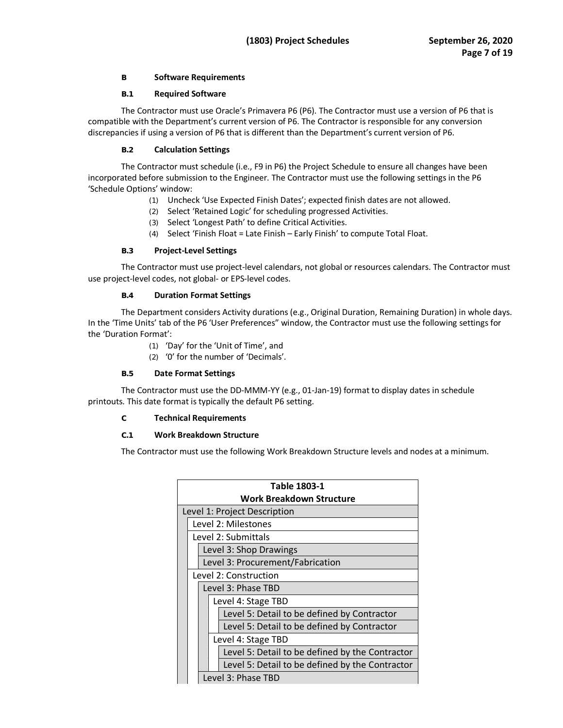## **B Software Requirements**

## **B.1 Required Software**

 The Contractor must use Oracle's Primavera P6 (P6). The Contractor must use a version of P6 that is discrepancies if using a version of P6 that is different than the Department's current version of P6. compatible with the Department's current version of P6. The Contractor is responsible for any conversion

## **B.2 Calculation Settings**

 The Contractor must schedule (i.e., F9 in P6) the Project Schedule to ensure all changes have been incorporated before submission to the Engineer. The Contractor must use the following settings in the P6 'Schedule Options' window:

- (1) Uncheck 'Use Expected Finish Dates'; expected finish dates are not allowed.
- (2) Select 'Retained Logic' for scheduling progressed Activities.
- (3) Select 'Longest Path' to define Critical Activities.
- (4) Select 'Finish Float = Late Finish Early Finish' to compute Total Float.

## **B.3 Project-Level Settings**

 The Contractor must use project-level calendars, not global or resources calendars. The Contractor must use project-level codes, not global- or EPS-level codes.

#### **B.4 Duration Format Settings**

 The Department considers Activity durations (e.g., Original Duration, Remaining Duration) in whole days. In the 'Time Units' tab of the P6 'User Preferences" window, the Contractor must use the following settings for the 'Duration Format':

- (1) 'Day' for the 'Unit of Time', and
- (2) '0' for the number of 'Decimals'.

#### **B.5 Date Format Settings**

The Contractor must use the DD-MMM-YY (e.g., 01-Jan-19) format to display dates in schedule printouts. This date format is typically the default P6 setting.

#### **C Technical Requirements**

#### **C.1 Work Breakdown Structure**

The Contractor must use the following Work Breakdown Structure levels and nodes at a minimum.

| Table 1803-1                 |                                                 |  |  |  |  |  |  |
|------------------------------|-------------------------------------------------|--|--|--|--|--|--|
| Work Breakdown Structure     |                                                 |  |  |  |  |  |  |
| Level 1: Project Description |                                                 |  |  |  |  |  |  |
|                              | Level 2: Milestones                             |  |  |  |  |  |  |
|                              | Level 2: Submittals                             |  |  |  |  |  |  |
|                              | Level 3: Shop Drawings                          |  |  |  |  |  |  |
|                              | Level 3: Procurement/Fabrication                |  |  |  |  |  |  |
|                              | Level 2: Construction                           |  |  |  |  |  |  |
|                              | Level 3: Phase TBD                              |  |  |  |  |  |  |
|                              | Level 4: Stage TBD                              |  |  |  |  |  |  |
|                              | Level 5: Detail to be defined by Contractor     |  |  |  |  |  |  |
|                              | Level 5: Detail to be defined by Contractor     |  |  |  |  |  |  |
|                              | Level 4: Stage TBD                              |  |  |  |  |  |  |
|                              | Level 5: Detail to be defined by the Contractor |  |  |  |  |  |  |
|                              | Level 5: Detail to be defined by the Contractor |  |  |  |  |  |  |
|                              | Level 3: Phase TBD                              |  |  |  |  |  |  |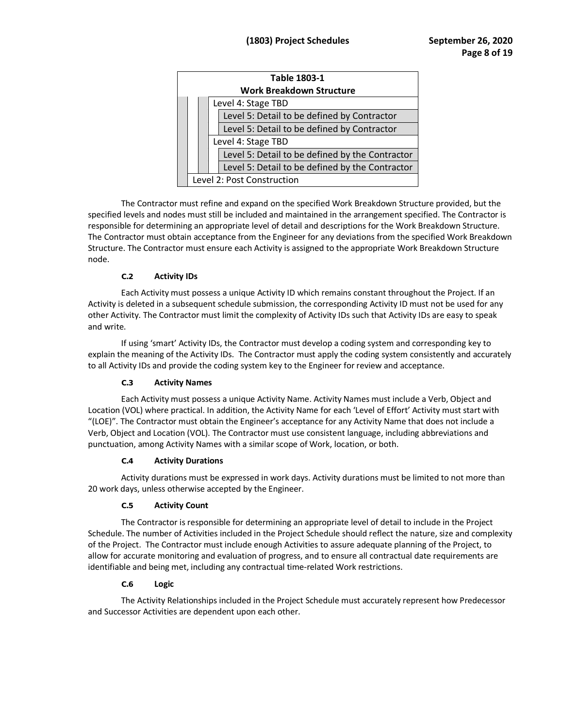| Table 1803-1<br><b>Work Breakdown Structure</b> |  |  |                                                 |  |  |  |  |  |
|-------------------------------------------------|--|--|-------------------------------------------------|--|--|--|--|--|
| Level 4: Stage TBD                              |  |  |                                                 |  |  |  |  |  |
|                                                 |  |  |                                                 |  |  |  |  |  |
|                                                 |  |  | Level 5: Detail to be defined by Contractor     |  |  |  |  |  |
|                                                 |  |  | Level 5: Detail to be defined by Contractor     |  |  |  |  |  |
| Level 4: Stage TBD                              |  |  |                                                 |  |  |  |  |  |
|                                                 |  |  | Level 5: Detail to be defined by the Contractor |  |  |  |  |  |
|                                                 |  |  | Level 5: Detail to be defined by the Contractor |  |  |  |  |  |
| Level 2: Post Construction                      |  |  |                                                 |  |  |  |  |  |

 specified levels and nodes must still be included and maintained in the arrangement specified. The Contractor is The Contractor must obtain acceptance from the Engineer for any deviations from the specified Work Breakdown Structure. The Contractor must ensure each Activity is assigned to the appropriate Work Breakdown Structure The Contractor must refine and expand on the specified Work Breakdown Structure provided, but the responsible for determining an appropriate level of detail and descriptions for the Work Breakdown Structure. node.

# **C.2 Activity IDs**

 Each Activity must possess a unique Activity ID which remains constant throughout the Project. If an Activity is deleted in a subsequent schedule submission, the corresponding Activity ID must not be used for any other Activity. The Contractor must limit the complexity of Activity IDs such that Activity IDs are easy to speak and write.

 explain the meaning of the Activity IDs. The Contractor must apply the coding system consistently and accurately to all Activity IDs and provide the coding system key to the Engineer for review and acceptance. If using 'smart' Activity IDs, the Contractor must develop a coding system and corresponding key to

# **C.3 Activity Names**

 Each Activity must possess a unique Activity Name. Activity Names must include a Verb, Object and Location (VOL) where practical. In addition, the Activity Name for each 'Level of Effort' Activity must start with "(LOE)". The Contractor must obtain the Engineer's acceptance for any Activity Name that does not include a Verb, Object and Location (VOL). The Contractor must use consistent language, including abbreviations and punctuation, among Activity Names with a similar scope of Work, location, or both.

# **C.4 Activity Durations**

 Activity durations must be expressed in work days. Activity durations must be limited to not more than 20 work days, unless otherwise accepted by the Engineer.

# **C.5 Activity Count**

The Contractor is responsible for determining an appropriate level of detail to include in the Project Schedule. The number of Activities included in the Project Schedule should reflect the nature, size and complexity of the Project. The Contractor must include enough Activities to assure adequate planning of the Project, to allow for accurate monitoring and evaluation of progress, and to ensure all contractual date requirements are identifiable and being met, including any contractual time-related Work restrictions.

# **C.6 Logic**

 The Activity Relationships included in the Project Schedule must accurately represent how Predecessor and Successor Activities are dependent upon each other.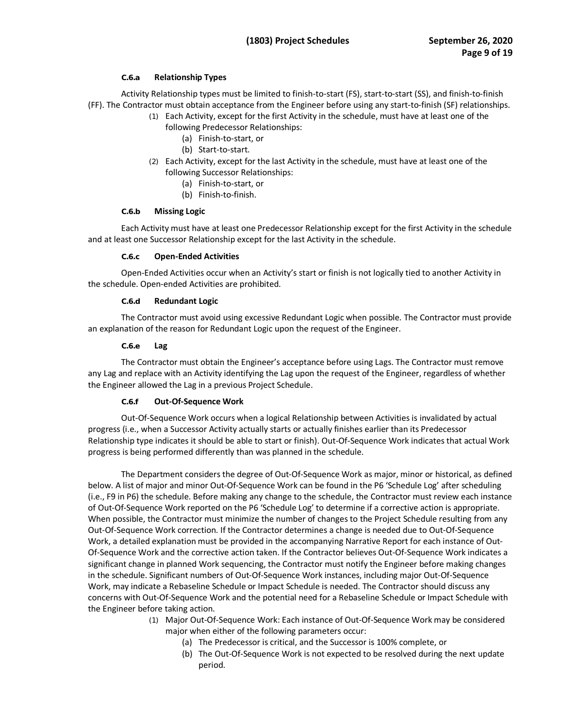## **C.6.a Relationship Types**

 Activity Relationship types must be limited to finish-to-start (FS), start-to-start (SS), and finish-to-finish (FF). The Contractor must obtain acceptance from the Engineer before using any start-to-finish (SF) relationships.

- (1) Each Activity, except for the first Activity in the schedule, must have at least one of the following Predecessor Relationships:
	- (a) Finish-to-start, or
	- (b) Start-to-start.
- (2) Each Activity, except for the last Activity in the schedule, must have at least one of the following Successor Relationships:
	- (a) Finish-to-start, or
	- (b) Finish-to-finish.

#### **C.6.b Missing Logic**

 and at least one Successor Relationship except for the last Activity in the schedule. Each Activity must have at least one Predecessor Relationship except for the first Activity in the schedule

#### **C.6.c Open-Ended Activities**

Open-Ended Activities occur when an Activity's start or finish is not logically tied to another Activity in the schedule. Open-ended Activities are prohibited.

## **C.6.d Redundant Logic**

 The Contractor must avoid using excessive Redundant Logic when possible. The Contractor must provide an explanation of the reason for Redundant Logic upon the request of the Engineer.

#### **C.6.e Lag**

 any Lag and replace with an Activity identifying the Lag upon the request of the Engineer, regardless of whether The Contractor must obtain the Engineer's acceptance before using Lags. The Contractor must remove the Engineer allowed the Lag in a previous Project Schedule.

# **C.6.f Out-Of-Sequence Work**

 Out-Of-Sequence Work occurs when a logical Relationship between Activities is invalidated by actual progress (i.e., when a Successor Activity actually starts or actually finishes earlier than its Predecessor Relationship type indicates it should be able to start or finish). Out-Of-Sequence Work indicates that actual Work progress is being performed differently than was planned in the schedule.

 The Department considers the degree of Out-Of-Sequence Work as major, minor or historical, as defined When possible, the Contractor must minimize the number of changes to the Project Schedule resulting from any Of-Sequence Work and the corrective action taken. If the Contractor believes Out-Of-Sequence Work indicates a Work, may indicate a Rebaseline Schedule or Impact Schedule is needed. The Contractor should discuss any below. A list of major and minor Out-Of-Sequence Work can be found in the P6 'Schedule Log' after scheduling (i.e., F9 in P6) the schedule. Before making any change to the schedule, the Contractor must review each instance of Out-Of-Sequence Work reported on the P6 'Schedule Log' to determine if a corrective action is appropriate. Out-Of-Sequence Work correction. If the Contractor determines a change is needed due to Out-Of-Sequence Work, a detailed explanation must be provided in the accompanying Narrative Report for each instance of Outsignificant change in planned Work sequencing, the Contractor must notify the Engineer before making changes in the schedule. Significant numbers of Out-Of-Sequence Work instances, including major Out-Of-Sequence concerns with Out-Of-Sequence Work and the potential need for a Rebaseline Schedule or Impact Schedule with the Engineer before taking action.

- (1) Major Out-Of-Sequence Work: Each instance of Out-Of-Sequence Work may be considered major when either of the following parameters occur:
	- (a) The Predecessor is critical, and the Successor is 100% complete, or
	- (b) The Out-Of-Sequence Work is not expected to be resolved during the next update period.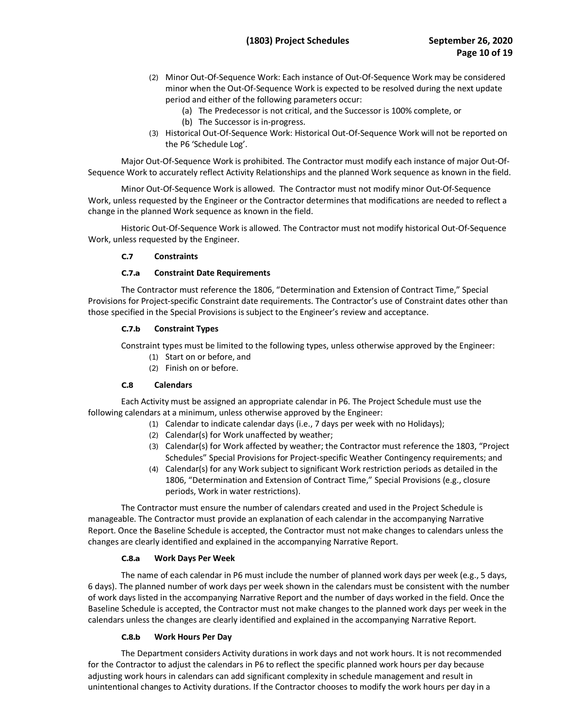- (2) Minor Out-Of-Sequence Work: Each instance of Out-Of-Sequence Work may be considered minor when the Out-Of-Sequence Work is expected to be resolved during the next update period and either of the following parameters occur:
	- (a) The Predecessor is not critical, and the Successor is 100% complete, or (b) The Successor is in-progress.
- (3) Historical Out-Of-Sequence Work: Historical Out-Of-Sequence Work will not be reported on the P6 'Schedule Log'.

 Major Out-Of-Sequence Work is prohibited. The Contractor must modify each instance of major Out-Of-Sequence Work to accurately reflect Activity Relationships and the planned Work sequence as known in the field.

 change in the planned Work sequence as known in the field. Minor Out-Of-Sequence Work is allowed. The Contractor must not modify minor Out-Of-Sequence Work, unless requested by the Engineer or the Contractor determines that modifications are needed to reflect a

 Historic Out-Of-Sequence Work is allowed. The Contractor must not modify historical Out-Of-Sequence Work, unless requested by the Engineer.

#### **C.7 Constraints**

## **C.7.a Constraint Date Requirements**

 Provisions for Project-specific Constraint date requirements. The Contractor's use of Constraint dates other than those specified in the Special Provisions is subject to the Engineer's review and acceptance. The Contractor must reference the 1806, "Determination and Extension of Contract Time," Special

## **C.7.b Constraint Types**

Constraint types must be limited to the following types, unless otherwise approved by the Engineer:

- (1) Start on or before, and
- (2) Finish on or before.

#### **C.8 Calendars**

 Each Activity must be assigned an appropriate calendar in P6. The Project Schedule must use the following calendars at a minimum, unless otherwise approved by the Engineer:

- (1) Calendar to indicate calendar days (i.e., 7 days per week with no Holidays);
- (2) Calendar(s) for Work unaffected by weather;
- (3) Calendar(s) for Work affected by weather; the Contractor must reference the 1803, "Project Schedules" Special Provisions for Project-specific Weather Contingency requirements; and
- periods, Work in water restrictions). (4) Calendar(s) for any Work subject to significant Work restriction periods as detailed in the 1806, "Determination and Extension of Contract Time," Special Provisions (e.g., closure

 periods, Work in water restrictions). The Contractor must ensure the number of calendars created and used in the Project Schedule is manageable. The Contractor must provide an explanation of each calendar in the accompanying Narrative Report. Once the Baseline Schedule is accepted, the Contractor must not make changes to calendars unless the changes are clearly identified and explained in the accompanying Narrative Report.

# **C.8.a Work Days Per Week**

 The name of each calendar in P6 must include the number of planned work days per week (e.g., 5 days, 6 days). The planned number of work days per week shown in the calendars must be consistent with the number of work days listed in the accompanying Narrative Report and the number of days worked in the field. Once the Baseline Schedule is accepted, the Contractor must not make changes to the planned work days per week in the calendars unless the changes are clearly identified and explained in the accompanying Narrative Report.

# **C.8.b Work Hours Per Day**

 The Department considers Activity durations in work days and not work hours. It is not recommended for the Contractor to adjust the calendars in P6 to reflect the specific planned work hours per day because adjusting work hours in calendars can add significant complexity in schedule management and result in unintentional changes to Activity durations. If the Contractor chooses to modify the work hours per day in a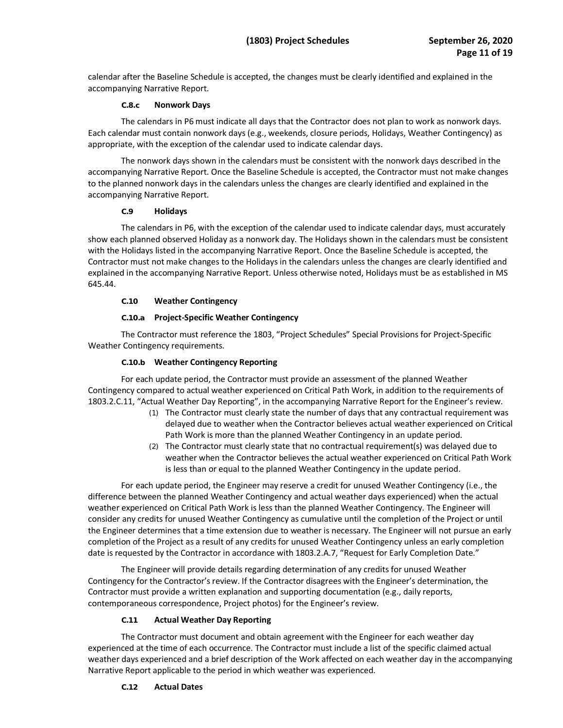calendar after the Baseline Schedule is accepted, the changes must be clearly identified and explained in the accompanying Narrative Report.

## **C.8.c Nonwork Days**

 The calendars in P6 must indicate all days that the Contractor does not plan to work as nonwork days. Each calendar must contain nonwork days (e.g., weekends, closure periods, Holidays, Weather Contingency) as appropriate, with the exception of the calendar used to indicate calendar days.

 accompanying Narrative Report. Once the Baseline Schedule is accepted, the Contractor must not make changes to the planned nonwork days in the calendars unless the changes are clearly identified and explained in the The nonwork days shown in the calendars must be consistent with the nonwork days described in the accompanying Narrative Report.

## **C.9 Holidays**

 Contractor must not make changes to the Holidays in the calendars unless the changes are clearly identified and The calendars in P6, with the exception of the calendar used to indicate calendar days, must accurately show each planned observed Holiday as a nonwork day. The Holidays shown in the calendars must be consistent with the Holidays listed in the accompanying Narrative Report. Once the Baseline Schedule is accepted, the explained in the accompanying Narrative Report. Unless otherwise noted, Holidays must be as established in MS 645.44.

# **C.10 Weather Contingency**

# **C.10.a Project-Specific Weather Contingency**

The Contractor must reference the 1803, "Project Schedules" Special Provisions for Project-Specific Weather Contingency requirements.

# **C.10.b Weather Contingency Reporting**

 Contingency compared to actual weather experienced on Critical Path Work, in addition to the requirements of For each update period, the Contractor must provide an assessment of the planned Weather [1803.2.C.11](https://1803.2.C.11), "Actual Weather Day Reporting", in the accompanying Narrative Report for the Engineer's review.

- Path Work is more than the planned Weather Contingency in an update period. (1) The Contractor must clearly state the number of days that any contractual requirement was delayed due to weather when the Contractor believes actual weather experienced on Critical
- weather when the Contractor believes the actual weather experienced on Critical Path Work (2) The Contractor must clearly state that no contractual requirement(s) was delayed due to is less than or equal to the planned Weather Contingency in the update period.

 For each update period, the Engineer may reserve a credit for unused Weather Contingency (i.e., the the Engineer determines that a time extension due to weather is necessary. The Engineer will not pursue an early completion of the Project as a result of any credits for unused Weather Contingency unless an early completion difference between the planned Weather Contingency and actual weather days experienced) when the actual weather experienced on Critical Path Work is less than the planned Weather Contingency. The Engineer will consider any credits for unused Weather Contingency as cumulative until the completion of the Project or until date is requested by the Contractor in accordance with 1803.2.A.7, "Request for Early Completion Date."

 Contingency for the Contractor's review. If the Contractor disagrees with the Engineer's determination, the Contractor must provide a written explanation and supporting documentation (e.g., daily reports, contemporaneous correspondence, Project photos) for the Engineer's review. The Engineer will provide details regarding determination of any credits for unused Weather

# **C.11 Actual Weather Day Reporting**

 The Contractor must document and obtain agreement with the Engineer for each weather day Narrative Report applicable to the period in which weather was experienced. experienced at the time of each occurrence. The Contractor must include a list of the specific claimed actual weather days experienced and a brief description of the Work affected on each weather day in the accompanying

# **C.12 Actual Dates**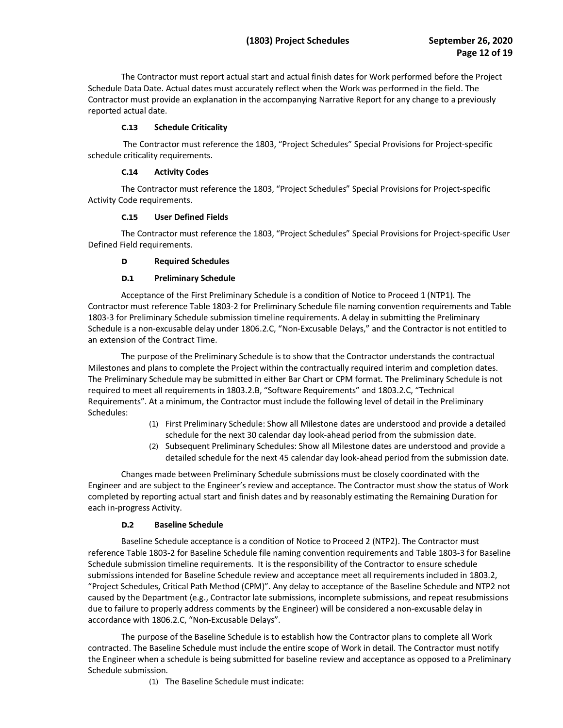Contractor must provide an explanation in the accompanying Narrative Report for any change to a previously The Contractor must report actual start and actual finish dates for Work performed before the Project Schedule Data Date. Actual dates must accurately reflect when the Work was performed in the field. The reported actual date.

## **C.13 Schedule Criticality**

The Contractor must reference the 1803, "Project Schedules" Special Provisions for Project-specific schedule criticality requirements.

#### **C.14 Activity Codes**

 The Contractor must reference the 1803, "Project Schedules" Special Provisions for Project-specific Activity Code requirements.

## **C.15 User Defined Fields**

 The Contractor must reference the 1803, "Project Schedules" Special Provisions for Project-specific User Defined Field requirements.

## **D Required Schedules**

## **D.1 Preliminary Schedule**

 Acceptance of the First Preliminary Schedule is a condition of Notice to Proceed 1 (NTP1). The Contractor must reference Table 1803-2 for Preliminary Schedule file naming convention requirements and Table 1803-3 for Preliminary Schedule submission timeline requirements. A delay in submitting the Preliminary Schedule is a non-excusable delay under 1806.2.C, "Non-Excusable Delays," and the Contractor is not entitled to an extension of the Contract Time.

 The purpose of the Preliminary Schedule is to show that the Contractor understands the contractual The Preliminary Schedule may be submitted in either Bar Chart or CPM format. The Preliminary Schedule is not Requirements". At a minimum, the Contractor must include the following level of detail in the Preliminary Milestones and plans to complete the Project within the contractually required interim and completion dates. required to meet all requirements in 1803.2.B, "Software Requirements" and 1803.2.C, "Technical Schedules:

- schedule for the next 30 calendar day look-ahead period from the submission date. (1) First Preliminary Schedule: Show all Milestone dates are understood and provide a detailed
- (2) Subsequent Preliminary Schedules: Show all Milestone dates are understood and provide a detailed schedule for the next 45 calendar day look-ahead period from the submission date.

 Changes made between Preliminary Schedule submissions must be closely coordinated with the Engineer and are subject to the Engineer's review and acceptance. The Contractor must show the status of Work completed by reporting actual start and finish dates and by reasonably estimating the Remaining Duration for each in-progress Activity.

# **D.2 Baseline Schedule**

 Baseline Schedule acceptance is a condition of Notice to Proceed 2 (NTP2). The Contractor must reference Table 1803-2 for Baseline Schedule file naming convention requirements and Table 1803-3 for Baseline Schedule submission timeline requirements. It is the responsibility of the Contractor to ensure schedule submissions intended for Baseline Schedule review and acceptance meet all requirements included in 1803.2, "Project Schedules, Critical Path Method (CPM)". Any delay to acceptance of the Baseline Schedule and NTP2 not caused by the Department (e.g., Contractor late submissions, incomplete submissions, and repeat resubmissions due to failure to properly address comments by the Engineer) will be considered a non-excusable delay in accordance with 1806.2.C, "Non-Excusable Delays".

 the Engineer when a schedule is being submitted for baseline review and acceptance as opposed to a Preliminary The purpose of the Baseline Schedule is to establish how the Contractor plans to complete all Work contracted. The Baseline Schedule must include the entire scope of Work in detail. The Contractor must notify Schedule submission.

(1) The Baseline Schedule must indicate: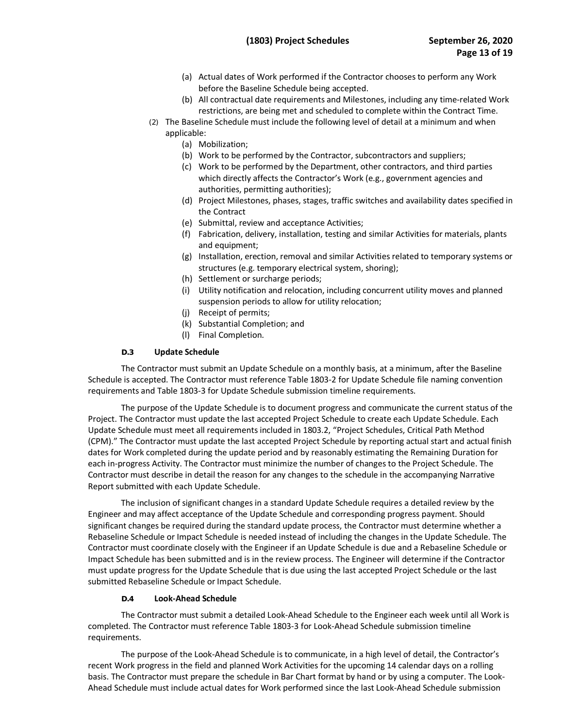- (a) Actual dates of Work performed if the Contractor chooses to perform any Work before the Baseline Schedule being accepted.
- (b) All contractual date requirements and Milestones, including any time-related Work restrictions, are being met and scheduled to complete within the Contract Time.
- (2) The Baseline Schedule must include the following level of detail at a minimum and when applicable:
	- (a) Mobilization;
	- (b) Work to be performed by the Contractor, subcontractors and suppliers;
	- (c) Work to be performed by the Department, other contractors, and third parties which directly affects the Contractor's Work (e.g., government agencies and authorities, permitting authorities);
	- (d) Project Milestones, phases, stages, traffic switches and availability dates specified in the Contract
	- (e) Submittal, review and acceptance Activities;
	- (f) Fabrication, delivery, installation, testing and similar Activities for materials, plants and equipment;
	- (g) Installation, erection, removal and similar Activities related to temporary systems or structures (e.g. temporary electrical system, shoring);
	- (h) Settlement or surcharge periods;
	- (i) Utility notification and relocation, including concurrent utility moves and planned suspension periods to allow for utility relocation;
	- (j) Receipt of permits;
	- (k) Substantial Completion; and
	- (l) Final Completion.

#### **D.3 Update Schedule**

 requirements and Table 1803-3 for Update Schedule submission timeline requirements. The Contractor must submit an Update Schedule on a monthly basis, at a minimum, after the Baseline Schedule is accepted. The Contractor must reference Table 1803-2 for Update Schedule file naming convention

 Update Schedule must meet all requirements included in 1803.2, "Project Schedules, Critical Path Method (CPM)." The Contractor must update the last accepted Project Schedule by reporting actual start and actual finish dates for Work completed during the update period and by reasonably estimating the Remaining Duration for Contractor must describe in detail the reason for any changes to the schedule in the accompanying Narrative The purpose of the Update Schedule is to document progress and communicate the current status of the Project. The Contractor must update the last accepted Project Schedule to create each Update Schedule. Each each in-progress Activity. The Contractor must minimize the number of changes to the Project Schedule. The Report submitted with each Update Schedule.

 Engineer and may affect acceptance of the Update Schedule and corresponding progress payment. Should Contractor must coordinate closely with the Engineer if an Update Schedule is due and a Rebaseline Schedule or Impact Schedule has been submitted and is in the review process. The Engineer will determine if the Contractor The inclusion of significant changes in a standard Update Schedule requires a detailed review by the significant changes be required during the standard update process, the Contractor must determine whether a Rebaseline Schedule or Impact Schedule is needed instead of including the changes in the Update Schedule. The must update progress for the Update Schedule that is due using the last accepted Project Schedule or the last submitted Rebaseline Schedule or Impact Schedule.

## **D.4 Look-Ahead Schedule**

requirements. The Contractor must submit a detailed Look-Ahead Schedule to the Engineer each week until all Work is completed. The Contractor must reference Table 1803-3 for Look-Ahead Schedule submission timeline

 basis. The Contractor must prepare the schedule in Bar Chart format by hand or by using a computer. The Look- Ahead Schedule must include actual dates for Work performed since the last Look-Ahead Schedule submission The purpose of the Look-Ahead Schedule is to communicate, in a high level of detail, the Contractor's recent Work progress in the field and planned Work Activities for the upcoming 14 calendar days on a rolling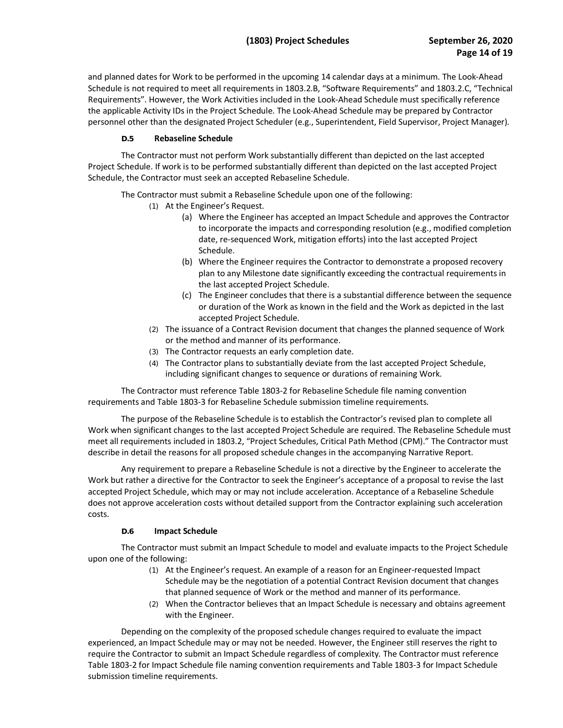Schedule is not required to meet all requirements in 1803.2.B, "Software Requirements" and 1803.2.C, "Technical Requirements". However, the Work Activities included in the Look-Ahead Schedule must specifically reference the applicable Activity IDs in the Project Schedule. The Look-Ahead Schedule may be prepared by Contractor and planned dates for Work to be performed in the upcoming 14 calendar days at a minimum. The Look-Ahead personnel other than the designated Project Scheduler (e.g., Superintendent, Field Supervisor, Project Manager).

# **D.5 Rebaseline Schedule**

The Contractor must not perform Work substantially different than depicted on the last accepted Project Schedule. If work is to be performed substantially different than depicted on the last accepted Project Schedule, the Contractor must seek an accepted Rebaseline Schedule.

The Contractor must submit a Rebaseline Schedule upon one of the following:

- (1) At the Engineer's Request.
	- (a) Where the Engineer has accepted an Impact Schedule and approves the Contractor to incorporate the impacts and corresponding resolution (e.g., modified completion date, re-sequenced Work, mitigation efforts) into the last accepted Project Schedule.
	- (b) Where the Engineer requires the Contractor to demonstrate a proposed recovery plan to any Milestone date significantly exceeding the contractual requirements in the last accepted Project Schedule.
	- or duration of the Work as known in the field and the Work as depicted in the last (c) The Engineer concludes that there is a substantial difference between the sequence accepted Project Schedule.
- or the method and manner of its performance. (2) The issuance of a Contract Revision document that changes the planned sequence of Work
- (3) The Contractor requests an early completion date.
- (4) The Contractor plans to substantially deviate from the last accepted Project Schedule, including significant changes to sequence or durations of remaining Work.

requirements and Table 1803-3 for Rebaseline Schedule submission timeline requirements. The Contractor must reference Table 1803-2 for Rebaseline Schedule file naming convention

 describe in detail the reasons for all proposed schedule changes in the accompanying Narrative Report. The purpose of the Rebaseline Schedule is to establish the Contractor's revised plan to complete all Work when significant changes to the last accepted Project Schedule are required. The Rebaseline Schedule must meet all requirements included in 1803.2, "Project Schedules, Critical Path Method (CPM)." The Contractor must

Any requirement to prepare a Rebaseline Schedule is not a directive by the Engineer to accelerate the Work but rather a directive for the Contractor to seek the Engineer's acceptance of a proposal to revise the last accepted Project Schedule, which may or may not include acceleration. Acceptance of a Rebaseline Schedule does not approve acceleration costs without detailed support from the Contractor explaining such acceleration costs.

# **D.6 Impact Schedule**

 The Contractor must submit an Impact Schedule to model and evaluate impacts to the Project Schedule upon one of the following:

- that planned sequence of Work or the method and manner of its performance. (1) At the Engineer's request. An example of a reason for an Engineer-requested Impact Schedule may be the negotiation of a potential Contract Revision document that changes
- (2) When the Contractor believes that an Impact Schedule is necessary and obtains agreement with the Engineer.

 Depending on the complexity of the proposed schedule changes required to evaluate the impact Table 1803-2 for Impact Schedule file naming convention requirements and Table 1803-3 for Impact Schedule experienced, an Impact Schedule may or may not be needed. However, the Engineer still reserves the right to require the Contractor to submit an Impact Schedule regardless of complexity. The Contractor must reference submission timeline requirements.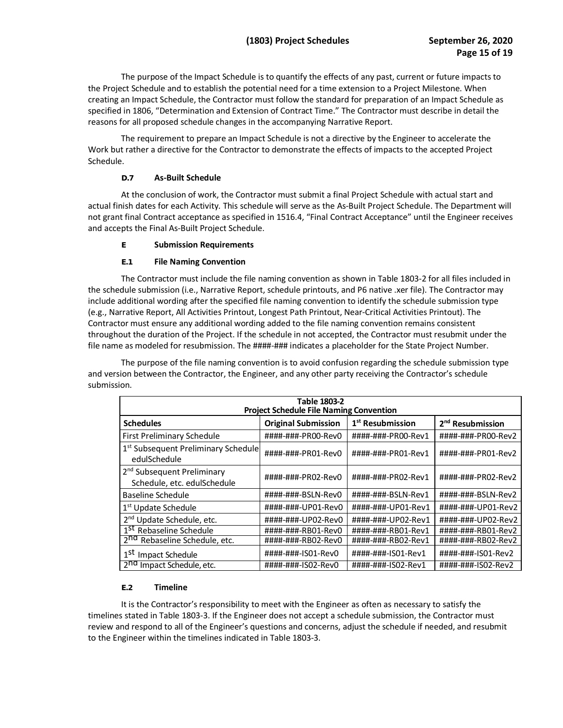the Project Schedule and to establish the potential need for a time extension to a Project Milestone. When specified in 1806, "Determination and Extension of Contract Time." The Contractor must describe in detail the The purpose of the Impact Schedule is to quantify the effects of any past, current or future impacts to creating an Impact Schedule, the Contractor must follow the standard for preparation of an Impact Schedule as reasons for all proposed schedule changes in the accompanying Narrative Report.

The requirement to prepare an Impact Schedule is not a directive by the Engineer to accelerate the Work but rather a directive for the Contractor to demonstrate the effects of impacts to the accepted Project Schedule.

# **D.7 As-Built Schedule**

 actual finish dates for each Activity. This schedule will serve as the As-Built Project Schedule. The Department will not grant final Contract acceptance as specified in 1516.4, "Final Contract Acceptance" until the Engineer receives At the conclusion of work, the Contractor must submit a final Project Schedule with actual start and and accepts the Final As-Built Project Schedule.

## **E Submission Requirements**

# **E.1 File Naming Convention**

 The Contractor must include the file naming convention as shown in Table 1803-2 for all files included in (e.g., Narrative Report, All Activities Printout, Longest Path Printout, Near-Critical Activities Printout). The file name as modeled for resubmission. The ####-### indicates a placeholder for the State Project Number. the schedule submission (i.e., Narrative Report, schedule printouts, and P6 native .xer file). The Contractor may include additional wording after the specified file naming convention to identify the schedule submission type Contractor must ensure any additional wording added to the file naming convention remains consistent throughout the duration of the Project. If the schedule in not accepted, the Contractor must resubmit under the

 The purpose of the file naming convention is to avoid confusion regarding the schedule submission type and version between the Contractor, the Engineer, and any other party receiving the Contractor's schedule submission.

| Table 1803-2                                                          |                            |                              |                              |  |  |  |  |  |
|-----------------------------------------------------------------------|----------------------------|------------------------------|------------------------------|--|--|--|--|--|
| <b>Project Schedule File Naming Convention</b>                        |                            |                              |                              |  |  |  |  |  |
| <b>Schedules</b>                                                      | <b>Original Submission</b> | 1 <sup>st</sup> Resubmission | 2 <sup>nd</sup> Resubmission |  |  |  |  |  |
| <b>First Preliminary Schedule</b>                                     | ####-###-PR00-Rev0         | ####-###-PR00-Rev1           | ####-###-PR00-Rev2           |  |  |  |  |  |
| 1 <sup>st</sup> Subsequent Preliminary Schedule<br>edulSchedule       | ####-###-PR01-Rev0         | ####-###-PR01-Rev1           | ####-###-PR01-Rev2           |  |  |  |  |  |
| 2 <sup>nd</sup> Subsequent Preliminary<br>Schedule, etc. edulSchedule | ####-###-PR02-Rev0         | ####-###-PR02-Rev1           | ####-###-PR02-Rev2           |  |  |  |  |  |
| Baseline Schedule                                                     | ####-###-BSLN-Rev0         | ####-###-BSLN-Rev1           | ####-###-BSLN-Rev2           |  |  |  |  |  |
| 1 <sup>st</sup> Update Schedule                                       | ####-###-UP01-Rev0         | ####-###-UP01-Rev1           | ####-###-UP01-Rev2           |  |  |  |  |  |
| 2 <sup>nd</sup> Update Schedule, etc.                                 | ####-###-UP02-Rev0         | ####-###-UP02-Rev1           | ####-###-UP02-Rev2           |  |  |  |  |  |
| 1 <sup>St</sup> Rebaseline Schedule                                   | ####-###-RB01-Rev0         | ####-###-RB01-Rev1           | ####-###-RB01-Rev2           |  |  |  |  |  |
| 2 <sup>nd</sup> Rebaseline Schedule, etc.                             | ####-###-RB02-Rev0         | ####-###-RB02-Rev1           | ####-###-RB02-Rev2           |  |  |  |  |  |
| 1 <sup>st</sup><br>Impact Schedule                                    | ####-###-IS01-Rev0         | ####-###-IS01-Rev1           | ####-###-IS01-Rev2           |  |  |  |  |  |
| 2 <sup>nd</sup> Impact Schedule, etc.                                 | ####-###-ISO2-RevO         | ####-###-ISO2-Rev1           | ####-###-ISO2-Rev2           |  |  |  |  |  |

#### **E.2 Timeline**

 review and respond to all of the Engineer's questions and concerns, adjust the schedule if needed, and resubmit It is the Contractor's responsibility to meet with the Engineer as often as necessary to satisfy the timelines stated in Table 1803-3. If the Engineer does not accept a schedule submission, the Contractor must to the Engineer within the timelines indicated in Table 1803-3.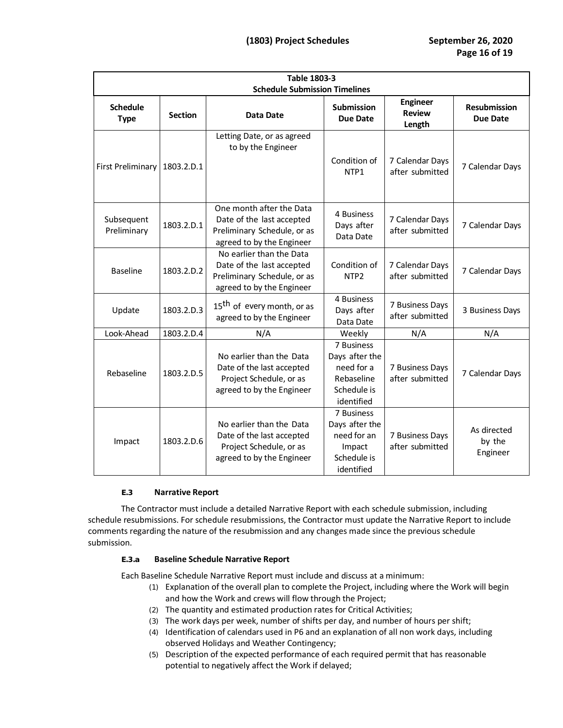| <b>Table 1803-3</b><br><b>Schedule Submission Timelines</b> |                |                                                                                                                   |                                                                                       |                                            |                                   |  |  |  |
|-------------------------------------------------------------|----------------|-------------------------------------------------------------------------------------------------------------------|---------------------------------------------------------------------------------------|--------------------------------------------|-----------------------------------|--|--|--|
| <b>Schedule</b><br><b>Type</b>                              | <b>Section</b> | Data Date                                                                                                         | <b>Submission</b><br>Due Date                                                         | <b>Engineer</b><br><b>Review</b><br>Length | <b>Resubmission</b><br>Due Date   |  |  |  |
| First Preliminary                                           | 1803.2.D.1     | Letting Date, or as agreed<br>to by the Engineer                                                                  | Condition of<br>NTP1                                                                  | 7 Calendar Days<br>after submitted         | 7 Calendar Days                   |  |  |  |
| Subsequent<br>Preliminary                                   | 1803.2.D.1     | One month after the Data<br>Date of the last accepted<br>Preliminary Schedule, or as<br>agreed to by the Engineer | 4 Business<br>Days after<br>Data Date                                                 | 7 Calendar Days<br>after submitted         | 7 Calendar Days                   |  |  |  |
| <b>Baseline</b>                                             | 1803.2.D.2     | No earlier than the Data<br>Date of the last accepted<br>Preliminary Schedule, or as<br>agreed to by the Engineer | Condition of<br>NTP <sub>2</sub>                                                      | 7 Calendar Days<br>after submitted         | 7 Calendar Days                   |  |  |  |
| Update                                                      | 1803.2.D.3     | 15 <sup>th</sup> of every month, or as<br>agreed to by the Engineer                                               | 4 Business<br>Days after<br>Data Date                                                 | 7 Business Days<br>after submitted         | 3 Business Days                   |  |  |  |
| Look-Ahead                                                  | 1803.2.D.4     | N/A                                                                                                               | Weekly                                                                                | N/A                                        | N/A                               |  |  |  |
| Rebaseline                                                  | 1803.2.D.5     | No earlier than the Data<br>Date of the last accepted<br>Project Schedule, or as<br>agreed to by the Engineer     | 7 Business<br>Days after the<br>need for a<br>Rebaseline<br>Schedule is<br>identified | 7 Business Days<br>after submitted         | 7 Calendar Days                   |  |  |  |
| Impact                                                      | 1803.2.D.6     | No earlier than the Data<br>Date of the last accepted<br>Project Schedule, or as<br>agreed to by the Engineer     | 7 Business<br>Days after the<br>need for an<br>Impact<br>Schedule is<br>identified    | 7 Business Days<br>after submitted         | As directed<br>by the<br>Engineer |  |  |  |

#### **E.3 Narrative Report**

 The Contractor must include a detailed Narrative Report with each schedule submission, including schedule resubmissions. For schedule resubmissions, the Contractor must update the Narrative Report to include comments regarding the nature of the resubmission and any changes made since the previous schedule submission.

# **E.3.a Baseline Schedule Narrative Report**

Each Baseline Schedule Narrative Report must include and discuss at a minimum:

- (1) Explanation of the overall plan to complete the Project, including where the Work will begin and how the Work and crews will flow through the Project;
- (2) The quantity and estimated production rates for Critical Activities;
- (3) The work days per week, number of shifts per day, and number of hours per shift;
- (4) Identification of calendars used in P6 and an explanation of all non work days, including observed Holidays and Weather Contingency;
- potential to negatively affect the Work if delayed; (5) Description of the expected performance of each required permit that has reasonable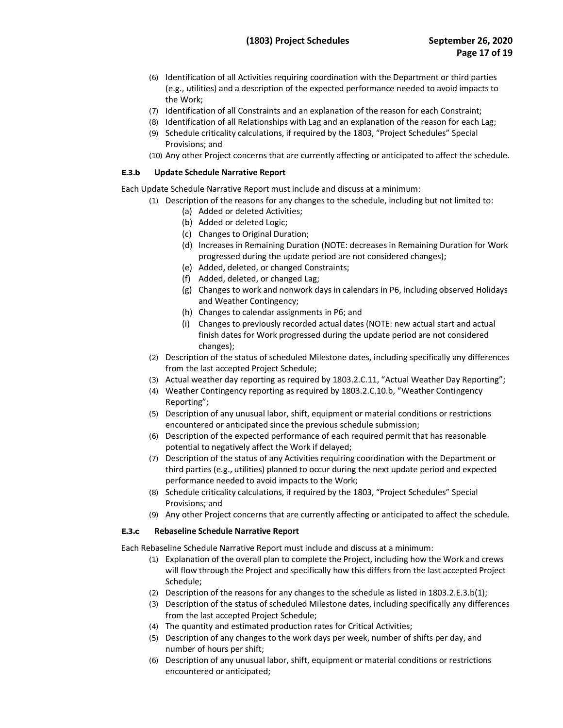- (6) Identification of all Activities requiring coordination with the Department or third parties (e.g., utilities) and a description of the expected performance needed to avoid impacts to the Work;
- (7) Identification of all Constraints and an explanation of the reason for each Constraint;
- (8) Identification of all Relationships with Lag and an explanation of the reason for each Lag;
- (9) Schedule criticality calculations, if required by the 1803, "Project Schedules" Special Provisions; and
- (10) Any other Project concerns that are currently affecting or anticipated to affect the schedule.

#### **E.3.b Update Schedule Narrative Report**

Each Update Schedule Narrative Report must include and discuss at a minimum:

- (1) Description of the reasons for any changes to the schedule, including but not limited to:
	- (a) Added or deleted Activities;
	- (b) Added or deleted Logic;
	- (c) Changes to Original Duration;
	- (d) Increases in Remaining Duration (NOTE: decreases in Remaining Duration for Work progressed during the update period are not considered changes); (e) Added, deleted, or changed Constraints;
	- (e) Added, deleted, or changed Constraints;
	- (f) Added, deleted, or changed Lag;
	- (g) Changes to work and nonwork days in calendars in P6, including observed Holidays and Weather Contingency;
	- (h) Changes to calendar assignments in P6; and
	- finish dates for Work progressed during the update period are not considered (i) Changes to previously recorded actual dates (NOTE: new actual start and actual changes);
- (2) Description of the status of scheduled Milestone dates, including specifically any differences from the last accepted Project Schedule;
- (3) Actual weather day reporting as required by [1803.2.C.11](https://1803.2.C.11), "Actual Weather Day Reporting";
- (4) Weather Contingency reporting as required by 1803.2.C.10.b, "Weather Contingency Reporting";
- (5) Description of any unusual labor, shift, equipment or material conditions or restrictions encountered or anticipated since the previous schedule submission;
- potential to negatively affect the Work if delayed; (6) Description of the expected performance of each required permit that has reasonable
- (7) Description of the status of any Activities requiring coordination with the Department or third parties (e.g., utilities) planned to occur during the next update period and expected performance needed to avoid impacts to the Work;
- (8) Schedule criticality calculations, if required by the 1803, "Project Schedules" Special Provisions; and
- (9) Any other Project concerns that are currently affecting or anticipated to affect the schedule.

#### **E.3.c Rebaseline Schedule Narrative Report**

Each Rebaseline Schedule Narrative Report must include and discuss at a minimum:

- (1) Explanation of the overall plan to complete the Project, including how the Work and crews will flow through the Project and specifically how this differs from the last accepted Project Schedule;
- (2) Description of the reasons for any changes to the schedule as listed in 1803.2.E.3.b(1);
- (3) Description of the status of scheduled Milestone dates, including specifically any differences from the last accepted Project Schedule;
- (4) The quantity and estimated production rates for Critical Activities;
- (5) Description of any changes to the work days per week, number of shifts per day, and number of hours per shift;
- (6) Description of any unusual labor, shift, equipment or material conditions or restrictions encountered or anticipated;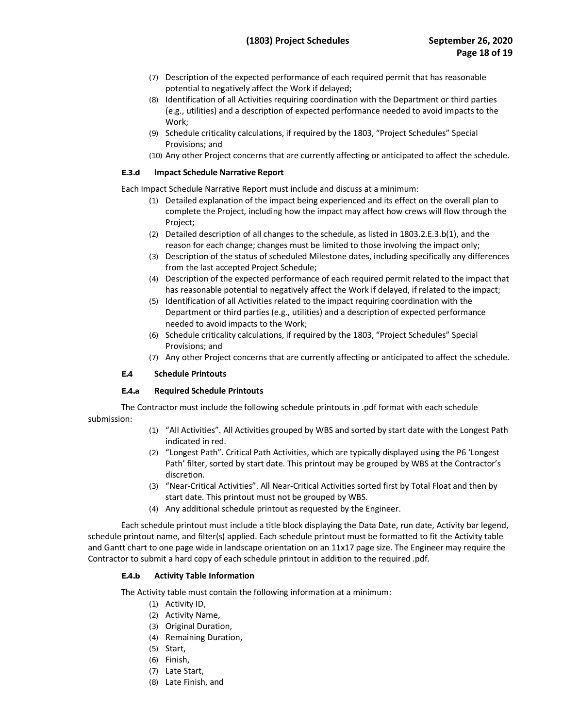- potential to negatively affect the Work if delayed; (7) Description of the expected performance of each required permit that has reasonable
- (8) Identification of all Activities requiring coordination with the Department or third parties (e.g., utilities) and a description of expected performance needed to avoid impacts to the Work;
- (9) Schedule criticality calculations, if required by the 1803, "Project Schedules" Special Provisions; and
- (10) Any other Project concerns that are currently affecting or anticipated to affect the schedule.

## **E.3.d Impact Schedule Narrative Report**

Each Impact Schedule Narrative Report must include and discuss at a minimum:

- (1) Detailed explanation of the impact being experienced and its effect on the overall plan to complete the Project, including how the impact may affect how crews will flow through the Project;
- (2) Detailed description of all changes to the schedule, as listed in 1803.2.E.3.b(1), and the reason for each change; changes must be limited to those involving the impact only;
- (3) Description of the status of scheduled Milestone dates, including specifically any differences from the last accepted Project Schedule;
- (4) Description of the expected performance of each required permit related to the impact that has reasonable potential to negatively affect the Work if delayed, if related to the impact;
- (5) Identification of all Activities related to the impact requiring coordination with the Department or third parties (e.g., utilities) and a description of expected performance needed to avoid impacts to the Work;
- (6) Schedule criticality calculations, if required by the 1803, "Project Schedules" Special Provisions; and
- (7) Any other Project concerns that are currently affecting or anticipated to affect the schedule.

# **E.4 Schedule Printouts**

# **E.4.a Required Schedule Printouts**

 submission: The Contractor must include the following schedule printouts in .pdf format with each schedule

- (1) "All Activities". All Activities grouped by WBS and sorted by start date with the Longest Path indicated in red.
- (2) "Longest Path". Critical Path Activities, which are typically displayed using the P6 'Longest Path' filter, sorted by start date. This printout may be grouped by WBS at the Contractor's discretion.
- (3) "Near-Critical Activities". All Near-Critical Activities sorted first by Total Float and then by start date. This printout must not be grouped by WBS.
- (4) Any additional schedule printout as requested by the Engineer.

 Each schedule printout must include a title block displaying the Data Date, run date, Activity bar legend, schedule printout name, and filter(s) applied. Each schedule printout must be formatted to fit the Activity table Contractor to submit a hard copy of each schedule printout in addition to the required .pdf. and Gantt chart to one page wide in landscape orientation on an 11x17 page size. The Engineer may require the

#### **E.4.b Activity Table Information**

The Activity table must contain the following information at a minimum:

- (1) Activity ID,
- (2) Activity Name,
- (3) Original Duration,
- (4) Remaining Duration,
- (5) Start,
- (6) Finish,
- (7) Late Start,
- (8) Late Finish, and